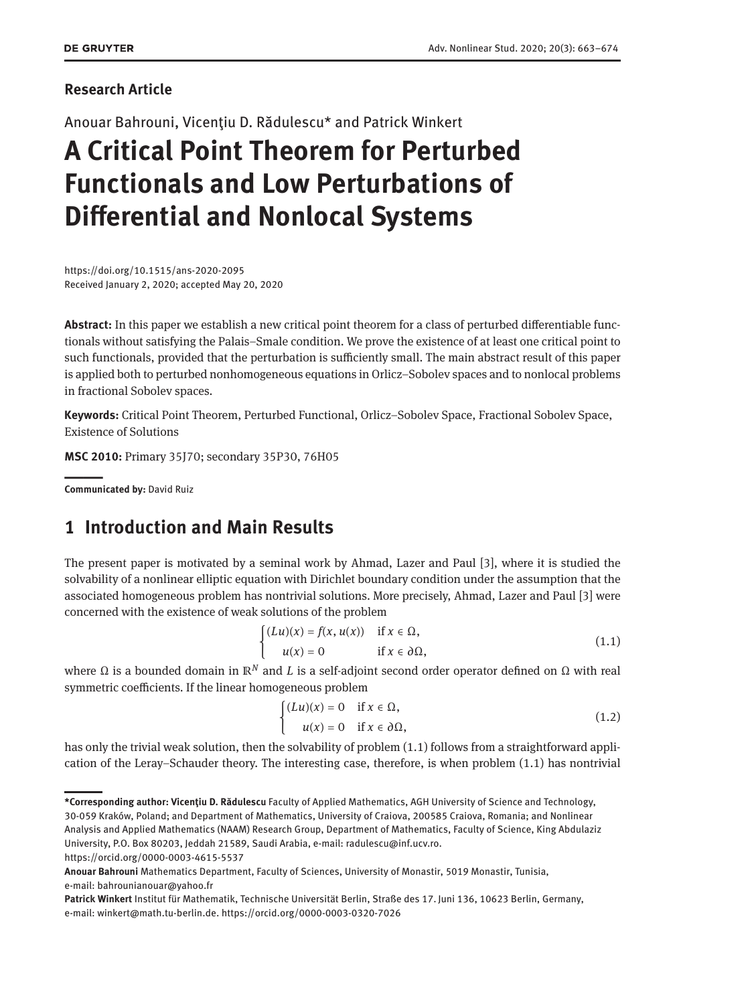#### **Research Article**

Anouar Bahrouni, Vicențiu D. Rădulescu\* and Patrick Winkert

# **A Critical Point Theorem for Perturbed Functionals and Low Perturbations of Differential and Nonlocal Systems**

https://doi.org/10.1515/ans-2020-2095 Received January 2, 2020; accepted May 20, 2020

**Abstract:** In this paper we establish a new critical point theorem for a class of perturbed differentiable functionals without satisfying the Palais–Smale condition. We prove the existence of at least one critical point to such functionals, provided that the perturbation is sufficiently small. The main abstract result of this paper is applied both to perturbed nonhomogeneous equations in Orlicz–Sobolev spaces and to nonlocal problems in fractional Sobolev spaces.

**Keywords:** Critical Point Theorem, Perturbed Functional, Orlicz–Sobolev Space, Fractional Sobolev Space, Existence of Solutions

**MSC 2010:** Primary 35J70; secondary 35P30, 76H05

||**Communicated by:** David Ruiz

## **1 Introduction and Main Results**

The present paper is motivated by a seminal work by Ahmad, Lazer and Paul [\[3\]](#page-10-0), where it is studied the solvability of a nonlinear elliptic equation with Dirichlet boundary condition under the assumption that the associated homogeneous problem has nontrivial solutions. More precisely, Ahmad, Lazer and Paul [\[3\]](#page-10-0) were concerned with the existence of weak solutions of the problem

<span id="page-0-0"></span>
$$
\begin{cases}\n(Lu)(x) = f(x, u(x)) & \text{if } x \in \Omega, \\
u(x) = 0 & \text{if } x \in \partial\Omega,\n\end{cases}
$$
\n(1.1)

where Ω is a bounded domain in  $\mathbb{R}^N$  and L is a self-adjoint second order operator defined on Ω with real symmetric coefficients. If the linear homogeneous problem

<span id="page-0-1"></span>
$$
\begin{cases} (Lu)(x) = 0 & \text{if } x \in \Omega, \\ u(x) = 0 & \text{if } x \in \partial\Omega, \end{cases}
$$
 (1.2)

has only the trivial weak solution, then the solvability of problem [\(1.1\)](#page-0-0) follows from a straightforward application of the Leray–Schauder theory. The interesting case, therefore, is when problem [\(1.1\)](#page-0-0) has nontrivial

**<sup>\*</sup>Corresponding author: Vicențiu D. Rădulescu** Faculty of Applied Mathematics, AGH University of Science and Technology, 30-059 Kraków, Poland; and Department of Mathematics, University of Craiova, 200585 Craiova, Romania; and Nonlinear Analysis and Applied Mathematics (NAAM) Research Group, Department of Mathematics, Faculty of Science, King Abdulaziz University, P.O. Box 80203, Jeddah 21589, Saudi Arabia, e-mail: radulescu@inf.ucv.ro.

https://orcid.org/0000-0003-4615-5537

**Anouar Bahrouni** Mathematics Department, Faculty of Sciences, University of Monastir, 5019 Monastir, Tunisia, e-mail: bahrounianouar@yahoo.fr

**Patrick Winkert** Institut für Mathematik, Technische Universität Berlin, Straße des 17. Juni 136, 10623 Berlin, Germany, e-mail: winkert@math.tu-berlin.de. https://orcid.org/0000-0003-0320-7026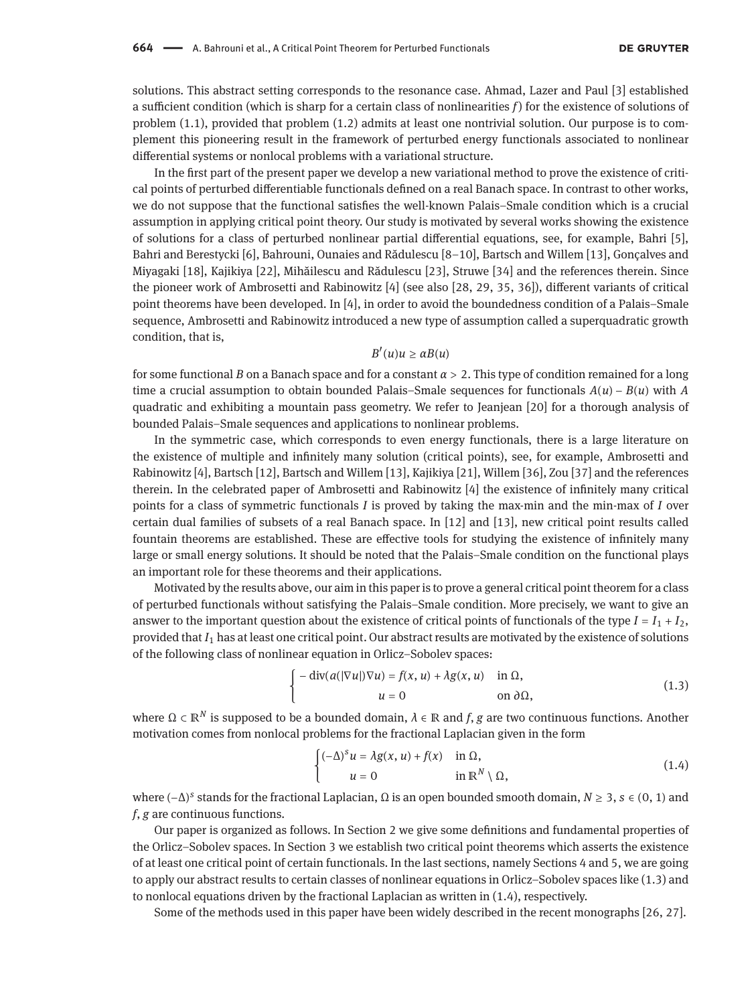solutions. This abstract setting corresponds to the resonance case. Ahmad, Lazer and Paul [\[3\]](#page-10-0) established a sufficient condition (which is sharp for a certain class of nonlinearities *f*) for the existence of solutions of problem [\(1.1\)](#page-0-0), provided that problem [\(1.2\)](#page-0-1) admits at least one nontrivial solution. Our purpose is to complement this pioneering result in the framework of perturbed energy functionals associated to nonlinear differential systems or nonlocal problems with a variational structure.

In the first part of the present paper we develop a new variational method to prove the existence of critical points of perturbed differentiable functionals defined on a real Banach space. In contrast to other works, we do not suppose that the functional satisfies the well-known Palais–Smale condition which is a crucial assumption in applying critical point theory. Our study is motivated by several works showing the existence of solutions for a class of perturbed nonlinear partial differential equations, see, for example, Bahri [\[5\]](#page-10-1), Bahri and Berestycki [\[6\]](#page-10-2), Bahrouni, Ounaies and Rădulescu [\[8–](#page-10-3)[10\]](#page-10-4), Bartsch and Willem [\[13\]](#page-10-5), Gonçalves and Miyagaki [\[18\]](#page-11-1), Kajikiya [\[22\]](#page-11-2), Mihăilescu and Rădulescu [\[23\]](#page-11-3), Struwe [\[34\]](#page-11-4) and the references therein. Since the pioneer work of Ambrosetti and Rabinowitz [\[4\]](#page-10-6) (see also [\[28,](#page-11-5) [29,](#page-11-6) [35,](#page-11-7) [36\]](#page-11-8)), different variants of critical point theorems have been developed. In [\[4\]](#page-10-6), in order to avoid the boundedness condition of a Palais–Smale sequence, Ambrosetti and Rabinowitz introduced a new type of assumption called a superquadratic growth condition, that is,

#### $B'(u)u \geq \alpha B(u)$

for some functional *B* on a Banach space and for a constant *α* > 2. This type of condition remained for a long time a crucial assumption to obtain bounded Palais–Smale sequences for functionals *A*(*u*) − *B*(*u*) with *A* quadratic and exhibiting a mountain pass geometry. We refer to Jeanjean [\[20\]](#page-11-9) for a thorough analysis of bounded Palais–Smale sequences and applications to nonlinear problems.

In the symmetric case, which corresponds to even energy functionals, there is a large literature on the existence of multiple and infinitely many solution (critical points), see, for example, Ambrosetti and Rabinowitz [\[4\]](#page-10-6), Bartsch [\[12\]](#page-10-7), Bartsch and Willem [\[13\]](#page-10-5), Kajikiya [\[21\]](#page-11-10), Willem [\[36\]](#page-11-8), Zou [\[37\]](#page-11-11) and the references therein. In the celebrated paper of Ambrosetti and Rabinowitz [\[4\]](#page-10-6) the existence of infinitely many critical points for a class of symmetric functionals *I* is proved by taking the max-min and the min-max of *I* over certain dual families of subsets of a real Banach space. In [\[12\]](#page-10-7) and [\[13\]](#page-10-5), new critical point results called fountain theorems are established. These are effective tools for studying the existence of infinitely many large or small energy solutions. It should be noted that the Palais–Smale condition on the functional plays an important role for these theorems and their applications.

Motivated by the results above, our aim in this paper is to prove a general critical point theorem for a class of perturbed functionals without satisfying the Palais–Smale condition. More precisely, we want to give an answer to the important question about the existence of critical points of functionals of the type  $I = I_1 + I_2$ , provided that *I*<sup>1</sup> has at least one critical point. Our abstract results are motivated by the existence of solutions of the following class of nonlinear equation in Orlicz–Sobolev spaces:

<span id="page-1-0"></span>
$$
\begin{cases}\n-\operatorname{div}(a(|\nabla u|)\nabla u) = f(x, u) + \lambda g(x, u) & \text{in } \Omega, \\
u = 0 & \text{on } \partial \Omega,\n\end{cases}
$$
\n(1.3)

where Ω ⊂ ℝ<sup>*N*</sup> is supposed to be a bounded domain,  $\lambda \in \mathbb{R}$  and *f*, *g* are two continuous functions. Another motivation comes from nonlocal problems for the fractional Laplacian given in the form

<span id="page-1-1"></span>
$$
\begin{cases} (-\Delta)^s u = \lambda g(x, u) + f(x) & \text{in } \Omega, \\ u = 0 & \text{in } \mathbb{R}^N \setminus \Omega, \end{cases}
$$
 (1.4)

where (−∆) *s* stands for the fractional Laplacian, Ω is an open bounded smooth domain, *N* ≥ 3, *s* ∈ (0, 1) and *f*, *g* are continuous functions.

Our paper is organized as follows. In Section [2](#page-2-0) we give some definitions and fundamental properties of the Orlicz–Sobolev spaces. In Section [3](#page-4-0) we establish two critical point theorems which asserts the existence of at least one critical point of certain functionals. In the last sections, namely Sections [4](#page-6-0) and [5,](#page-8-0) we are going to apply our abstract results to certain classes of nonlinear equations in Orlicz–Sobolev spaces like [\(1.3\)](#page-1-0) and to nonlocal equations driven by the fractional Laplacian as written in [\(1.4\)](#page-1-1), respectively.

Some of the methods used in this paper have been widely described in the recent monographs [\[26,](#page-11-12) [27\]](#page-11-13).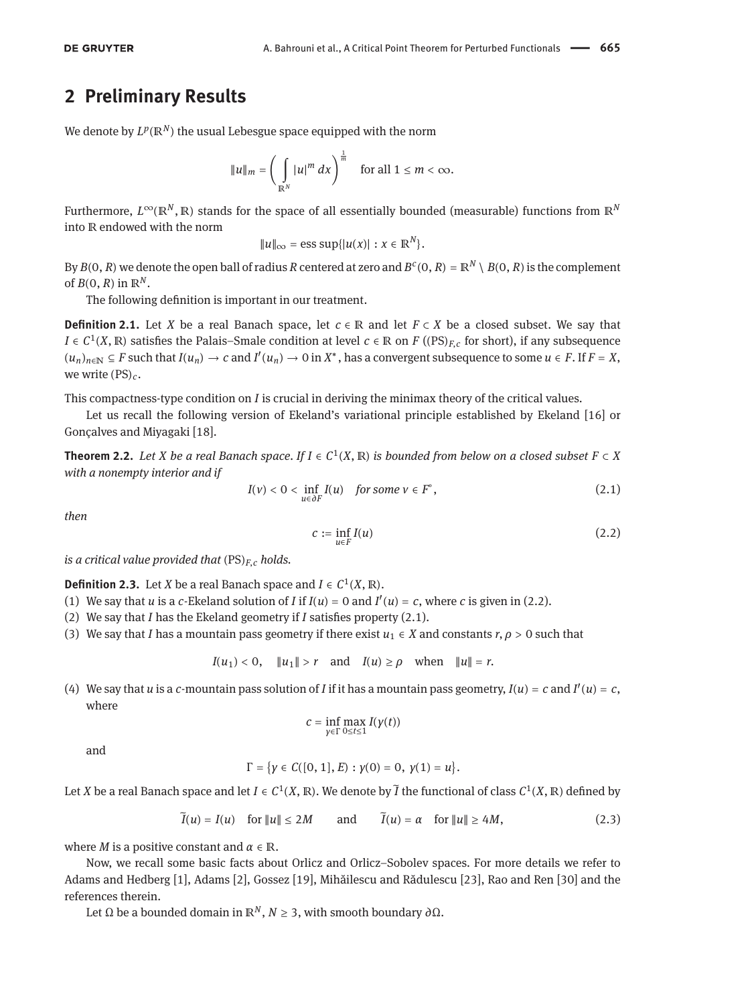### <span id="page-2-0"></span>**2 Preliminary Results**

We denote by  $L^p(\mathbb{R}^N)$  the usual Lebesgue space equipped with the norm

$$
||u||_m = \left(\int_{\mathbb{R}^N} |u|^m dx\right)^{\frac{1}{m}} \quad \text{for all } 1 \leq m < \infty.
$$

Furthermore, *L*∞(ℝ*<sup>N</sup>* , ℝ) stands for the space of all essentially bounded (measurable) functions from ℝ*<sup>N</sup>* into R endowed with the norm

$$
||u||_{\infty} = \text{ess sup}\{|u(x)| : x \in \mathbb{R}^N\}.
$$

By  $B(0,R)$  we denote the open ball of radius  $R$  centered at zero and  $B^c(0,R) = \mathbb{R}^N \setminus B(0,R)$  is the complement of  $B(0, R)$  in  $\mathbb{R}^N$ .

The following definition is important in our treatment.

**Definition 2.1.** Let *X* be a real Banach space, let  $c \in \mathbb{R}$  and let  $F \subset X$  be a closed subset. We say that *I* ∈  $C^1(X, \mathbb{R})$  satisfies the Palais–Smale condition at level  $c \in \mathbb{R}$  on *F* ((PS)<sub>*F*,*c*</sub> for short), if any subsequence  $(u_n)_{n \in \mathbb{N}}$  ⊆ *F* such that  $I(u_n)$  → *c* and  $I'(u_n)$  → 0 in  $X^*$ , has a convergent subsequence to some  $u \in F$ . If  $F = X$ , we write (PS)*c*.

This compactness-type condition on *I* is crucial in deriving the minimax theory of the critical values.

Let us recall the following version of Ekeland's variational principle established by Ekeland [\[16\]](#page-11-14) or Gonçalves and Miyagaki [\[18\]](#page-11-1).

<span id="page-2-4"></span>**Theorem 2.2.** Let *X* be a real Banach space. If  $I \in C^1(X, \mathbb{R})$  is bounded from below on a closed subset  $F \subset X$ *with a nonempty interior and if*

<span id="page-2-2"></span>
$$
I(v) < 0 < \inf_{u \in \partial F} I(u) \quad \text{for some } v \in F^{\circ}, \tag{2.1}
$$

*then*

<span id="page-2-1"></span>
$$
c := \inf_{u \in F} I(u) \tag{2.2}
$$

*is a critical value provided that* (PS)*F*,*<sup>c</sup> holds.*

**Definition 2.3.** Let *X* be a real Banach space and  $I \in C^1(X, \mathbb{R})$ .

- (1) We say that *u* is a *c*-Ekeland solution of *I* if  $I(u) = 0$  and  $I'(u) = c$ , where *c* is given in [\(2.2\)](#page-2-1).
- (2) We say that *I* has the Ekeland geometry if *I* satisfies property [\(2.1\)](#page-2-2).
- (3) We say that *I* has a mountain pass geometry if there exist  $u_1 \in X$  and constants  $r, \rho > 0$  such that

$$
I(u_1) < 0
$$
,  $||u_1|| > r$  and  $I(u) \geq \rho$  when  $||u|| = r$ .

(4) We say that *u* is a *c*-mountain pass solution of *I* if it has a mountain pass geometry,  $I(u) = c$  and  $I'(u) = c$ , where

$$
c = \inf_{\gamma \in \Gamma} \max_{0 \le t \le 1} I(\gamma(t))
$$

and

$$
\Gamma = \{ \gamma \in C([0, 1], E) : \gamma(0) = 0, \gamma(1) = u \}.
$$

Let *X* be a real Banach space and let  $I \in C^1(X,\mathbb{R})$ . We denote by  $\widetilde{I}$  the functional of class  $C^1(X,\mathbb{R})$  defined by

<span id="page-2-3"></span>
$$
\widetilde{I}(u) = I(u) \quad \text{for } \|u\| \le 2M \qquad \text{and} \qquad \widetilde{I}(u) = \alpha \quad \text{for } \|u\| \ge 4M, \tag{2.3}
$$

where *M* is a positive constant and  $\alpha \in \mathbb{R}$ .

Now, we recall some basic facts about Orlicz and Orlicz–Sobolev spaces. For more details we refer to Adams and Hedberg [\[1\]](#page-10-8), Adams [\[2\]](#page-10-9), Gossez [\[19\]](#page-11-15), Mihăilescu and Rădulescu [\[23\]](#page-11-3), Rao and Ren [\[30\]](#page-11-16) and the references therein.

Let Ω be a bounded domain in  $\mathbb{R}^N$ , *N* ≥ 3, with smooth boundary *∂*Ω.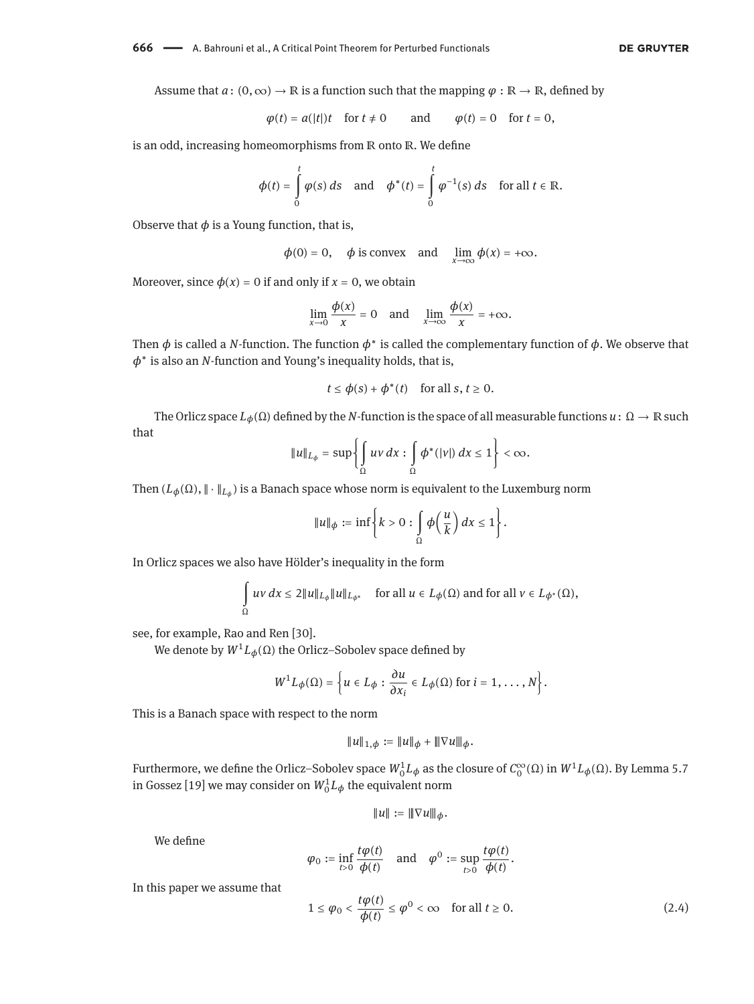**666** - A. Bahrouni et al., A Critical Point Theorem for Perturbed Functionals

Assume that  $a: (0, \infty) \to \mathbb{R}$  is a function such that the mapping  $\varphi : \mathbb{R} \to \mathbb{R}$ , defined by

$$
\varphi(t) = a(|t|)t
$$
 for  $t \neq 0$  and  $\varphi(t) = 0$  for  $t = 0$ ,

is an odd, increasing homeomorphisms from ℝ onto ℝ. We define

$$
\phi(t) = \int\limits_0^t \varphi(s) \, ds \quad \text{and} \quad \phi^*(t) = \int\limits_0^t \varphi^{-1}(s) \, ds \quad \text{for all } t \in \mathbb{R}.
$$

Observe that  $\phi$  is a Young function, that is,

$$
\phi(0) = 0
$$
,  $\phi$  is convex and  $\lim_{x \to \infty} \phi(x) = +\infty$ .

Moreover, since  $\phi(x) = 0$  if and only if  $x = 0$ , we obtain

$$
\lim_{x \to 0} \frac{\phi(x)}{x} = 0 \quad \text{and} \quad \lim_{x \to \infty} \frac{\phi(x)}{x} = +\infty.
$$

Then  $\phi$  is called a *N*-function. The function  $\phi^*$  is called the complementary function of  $\phi$ . We observe that *ϕ* ∗ is also an *N*-function and Young's inequality holds, that is,

$$
t \le \phi(s) + \phi^*(t) \quad \text{for all } s, t \ge 0.
$$

The Orlicz space  $L_\phi(\Omega)$  defined by the *N*-function is the space of all measurable functions  $u: \Omega \to \mathbb{R}$  such that

$$
\|u\|_{L_{\phi}}=\sup\left\{\int\limits_{\Omega}uv\,dx:\int\limits_{\Omega}\phi^{\ast}(|v|)\,dx\leq 1\right\}<\infty.
$$

Then (*Lϕ*(Ω), ‖ ⋅ ‖*L<sup>ϕ</sup>* ) is a Banach space whose norm is equivalent to the Luxemburg norm

$$
||u||_{\phi} := \inf \left\{ k > 0 : \int_{\Omega} \phi \left( \frac{u}{k} \right) dx \leq 1 \right\}.
$$

In Orlicz spaces we also have Hölder's inequality in the form

$$
\int_{\Omega} uv \, dx \le 2||u||_{L_{\phi}}||u||_{L_{\phi^*}} \quad \text{for all } u \in L_{\phi}(\Omega) \text{ and for all } v \in L_{\phi^*}(\Omega),
$$

see, for example, Rao and Ren [\[30\]](#page-11-16).

We denote by  $W^1L_\phi(\Omega)$  the Orlicz–Sobolev space defined by

$$
W^{1}L_{\phi}(\Omega) = \left\{u \in L_{\phi} : \frac{\partial u}{\partial x_{i}} \in L_{\phi}(\Omega) \text{ for } i = 1, ..., N\right\}.
$$

This is a Banach space with respect to the norm

$$
||u||_{1,\phi} := ||u||_{\phi} + |||\nabla u||_{\phi}.
$$

Furthermore, we define the Orlicz–Sobolev space  $W_0^1L_\phi$  as the closure of  $C_0^\infty(\Omega)$  in  $W^1L_\phi(\Omega).$  By Lemma 5.7 in Gossez [\[19\]](#page-11-15) we may consider on  $W_0^1L_\phi$  the equivalent norm

$$
||u||:=||\nabla u|||_{\phi}.
$$

We define

$$
\varphi_0 := \inf_{t>0} \frac{t\varphi(t)}{\varphi(t)}
$$
 and  $\varphi^0 := \sup_{t>0} \frac{t\varphi(t)}{\varphi(t)}$ .

In this paper we assume that

<span id="page-3-0"></span>
$$
1 \le \varphi_0 < \frac{t\varphi(t)}{\varphi(t)} \le \varphi^0 < \infty \quad \text{for all } t \ge 0. \tag{2.4}
$$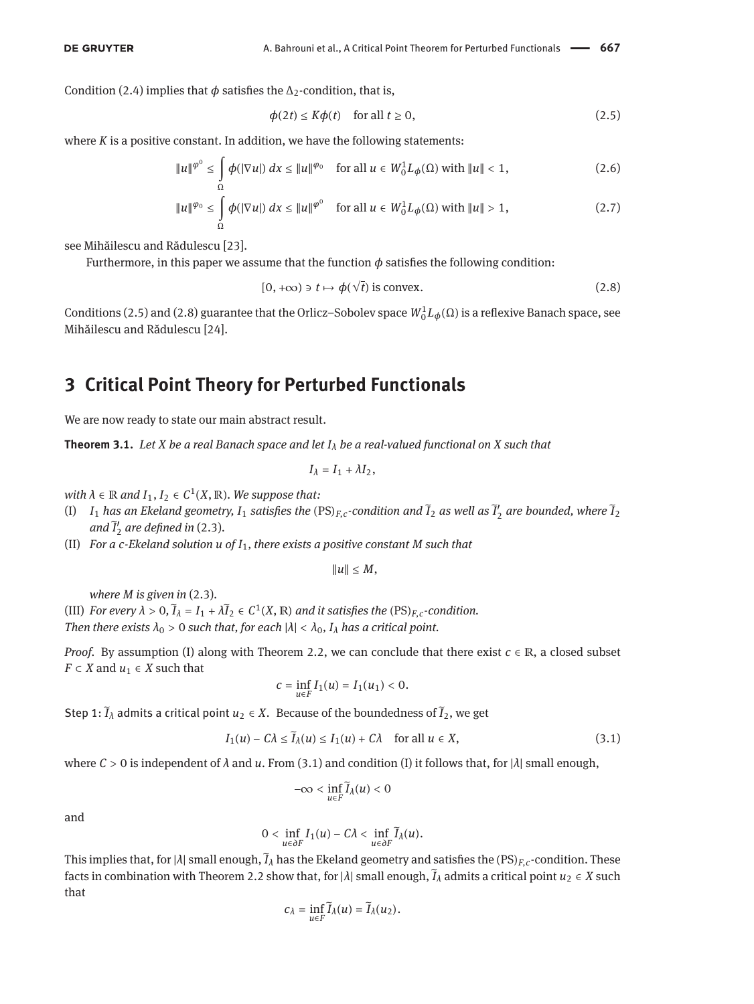Condition [\(2.4\)](#page-3-0) implies that  $\phi$  satisfies the  $\Delta_2$ -condition, that is,

<span id="page-4-6"></span><span id="page-4-5"></span><span id="page-4-1"></span>
$$
\phi(2t) \le K\phi(t) \quad \text{for all } t \ge 0,
$$
\n(2.5)

where *K* is a positive constant. In addition, we have the following statements:

$$
\|u\|^{\varphi^0} \le \int\limits_{\Omega} \phi(|\nabla u|) \, dx \le \|u\|^{\varphi_0} \quad \text{for all } u \in W_0^1 L_\phi(\Omega) \text{ with } \|u\| < 1,\tag{2.6}
$$

$$
\|u\|^{\varphi_0} \le \int\limits_{\Omega} \phi(|\nabla u|) \, dx \le \|u\|^{\varphi^0} \quad \text{for all } u \in W_0^1 L_\phi(\Omega) \text{ with } \|u\| > 1,\tag{2.7}
$$

see Mihăilescu and Rădulescu [\[23\]](#page-11-3).

Furthermore, in this paper we assume that the function  $\phi$  satisfies the following condition:

<span id="page-4-2"></span>
$$
[0, +\infty) \ni t \mapsto \phi(\sqrt{t}) \text{ is convex.}
$$
 (2.8)

Conditions [\(2.5\)](#page-4-1) and [\(2.8\)](#page-4-2) guarantee that the Orlicz–Sobolev space  $W_0^1L_\phi(\Omega)$  is a reflexive Banach space, see Mihăilescu and Rădulescu [\[24\]](#page-11-17).

### <span id="page-4-0"></span>**3 Critical Point Theory for Perturbed Functionals**

We are now ready to state our main abstract result.

<span id="page-4-4"></span>**Theorem 3.1.** *Let X be a real Banach space and let*  $I<sub>\lambda</sub>$  *be a real-valued functional on X* such that

$$
I_{\lambda}=I_1+\lambda I_2,
$$

 $with \lambda \in \mathbb{R}$  and  $I_1, I_2 \in C^1(X, \mathbb{R})$ *. We suppose that:* 

- (I)  $I_1$  has an Ekeland geometry,  $I_1$  satisfies the  $(PS)_{F,c}$ -condition and  $\tilde{I}_2$  as well as  $\tilde{I}'_2$  are bounded, where  $\tilde{I}_2$ and  $\tilde{I}'_2$  are defined in [\(2.3\)](#page-2-3).
- (II) *For a c-Ekeland solution u of I*1*, there exists a positive constant M such that*

$$
||u||\leq M,
$$

*where M is given in* [\(2.3\)](#page-2-3)*.*

(III) *For every*  $\lambda > 0$ ,  $\tilde{I}_\lambda = I_1 + \lambda \tilde{I}_2 \in C^1(X, \mathbb{R})$  *and it satisfies the*  $(PS)_{F,c}$ *-condition. Then there exists*  $\lambda_0 > 0$  *such that, for each*  $|\lambda| < \lambda_0$ ,  $I_\lambda$  *has a critical point.* 

*Proof.* By assumption (I) along with Theorem [2.2,](#page-2-4) we can conclude that there exist  $c \in \mathbb{R}$ , a closed subset *F*  $\subset$  *X* and *u*<sub>1</sub>  $\in$  *X* such that

$$
c = \inf_{u \in F} I_1(u) = I_1(u_1) < 0.
$$

Step 1:  $\tilde{I}_\lambda$  admits a critical point  $u_2 \in X$ . Because of the boundedness of  $\tilde{I}_2$ , we get

<span id="page-4-3"></span>
$$
I_1(u) - C\lambda \le \widetilde{I}_{\lambda}(u) \le I_1(u) + C\lambda \quad \text{for all } u \in X,
$$
\n(3.1)

where  $C > 0$  is independent of  $\lambda$  and  $u$ . From [\(3.1\)](#page-4-3) and condition (I) it follows that, for  $|\lambda|$  small enough,

$$
-\infty<\inf_{u\in F}\widetilde I_\lambda(u)<0
$$

and

$$
0<\inf_{u\in\partial F}I_1(u)-C\lambda<\inf_{u\in\partial F}\widetilde{I}_\lambda(u).
$$

This implies that, for  $|\lambda|$  small enough,  $\tilde{I}_\lambda$  has the Ekeland geometry and satisfies the  $(PS)_{F,c}$ -condition. These facts in combination with Theorem [2.2](#page-2-4) show that, for  $|\lambda|$  small enough,  $\tilde{I}_\lambda$  admits a critical point  $u_2 \in X$  such that

$$
c_{\lambda}=\inf_{u\in F}\widetilde{I}_{\lambda}(u)=\widetilde{I}_{\lambda}(u_2).
$$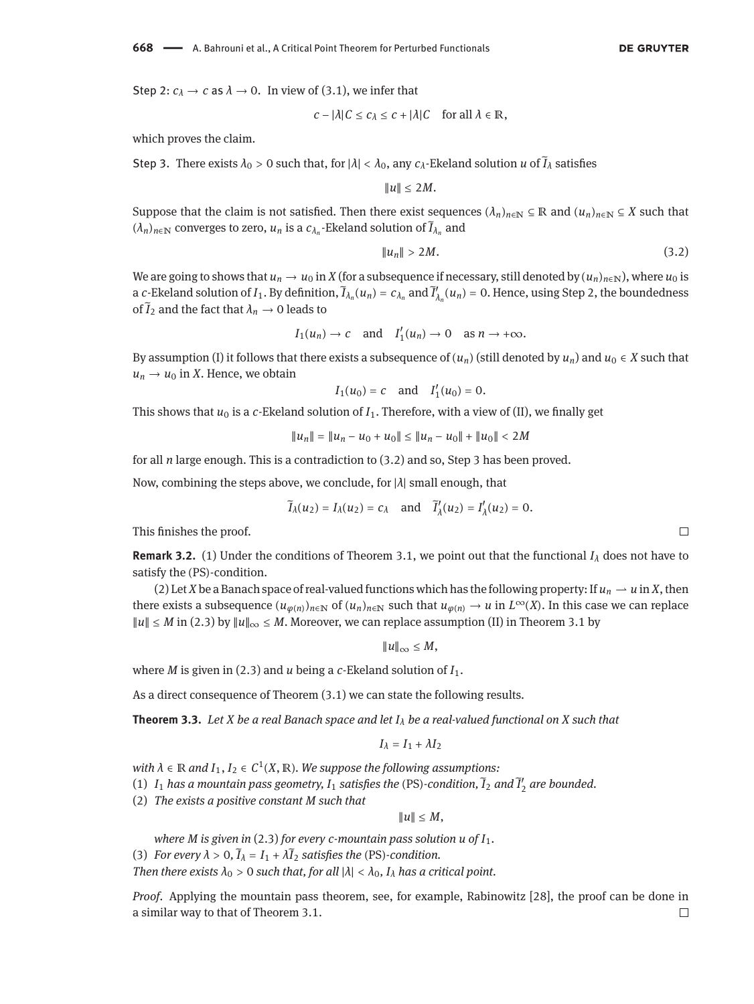Step 2:  $c_{\lambda} \rightarrow c$  as  $\lambda \rightarrow 0$ . In view of [\(3.1\)](#page-4-3), we infer that

$$
c - |\lambda| C \leq c_{\lambda} \leq c + |\lambda| C \quad \text{for all } \lambda \in \mathbb{R},
$$

which proves the claim.

Step 3. There exists  $\lambda_0 > 0$  such that, for  $|\lambda| < \lambda_0$ , any  $c_\lambda$ -Ekeland solution *u* of  $\tilde{I}_\lambda$  satisfies

 $\|u\| \leq 2M$ .

Suppose that the claim is not satisfied. Then there exist sequences  $(\lambda_n)_{n\in\mathbb{N}}\subseteq\mathbb{R}$  and  $(u_n)_{n\in\mathbb{N}}\subseteq X$  such that  $(\lambda_n)_{n\in\mathbb{N}}$  converges to zero,  $u_n$  is a  $c_{\lambda_n}$ -Ekeland solution of  $\widetilde{I}_{\lambda_n}$  and

<span id="page-5-0"></span>
$$
||u_n|| > 2M. \tag{3.2}
$$

We are going to shows that  $u_n \to u_0$  in *X* (for a subsequence if necessary, still denoted by  $(u_n)_{n \in \mathbb{N}}$ ), where  $u_0$  is a *c*-Ekeland solution of *I*<sub>1</sub>. By definition,  $\tilde{I}_{\lambda_n}(u_n) = c_{\lambda_n}$  and  $\tilde{I}'_{\lambda_n}(u_n) = 0$ . Hence, using Step 2, the boundedness of  $\tilde{I}_2$  and the fact that  $\lambda_n \to 0$  leads to

$$
I_1(u_n) \to c
$$
 and  $I'_1(u_n) \to 0$  as  $n \to +\infty$ .

By assumption (I) it follows that there exists a subsequence of  $(u_n)$  (still denoted by  $u_n$ ) and  $u_0 \in X$  such that  $u_n \rightarrow u_0$  in *X*. Hence, we obtain

$$
I_1(u_0) = c
$$
 and  $I'_1(u_0) = 0$ .

This shows that  $u_0$  is a *c*-Ekeland solution of  $I_1$ . Therefore, with a view of (II), we finally get

$$
||u_n|| = ||u_n - u_0 + u_0|| \le ||u_n - u_0|| + ||u_0|| < 2M
$$

for all *n* large enough. This is a contradiction to [\(3.2\)](#page-5-0) and so, Step 3 has been proved.

Now, combining the steps above, we conclude, for |*λ*| small enough, that

$$
\widetilde{I}_{\lambda}(u_2) = I_{\lambda}(u_2) = c_{\lambda}
$$
 and  $\widetilde{I}'_{\lambda}(u_2) = I'_{\lambda}(u_2) = 0$ .

This finishes the proof.

**Remark 3.2.** (1) Under the conditions of Theorem [3.1,](#page-4-4) we point out that the functional  $I_\lambda$  does not have to satisfy the (PS)-condition.

(2) Let *X* be a Banach space of real-valued functions which has the following property: If  $u_n \to u$  in *X*, then there exists a subsequence  $(u_{\varphi(n)})_{n\in\mathbb{N}}$  of  $(u_n)_{n\in\mathbb{N}}$  such that  $u_{\varphi(n)}\to u$  in  $L^{\infty}(X)$ . In this case we can replace  $||u||$  ≤ *M* in [\(2.3\)](#page-2-3) by  $||u||_{\infty}$  ≤ *M*. Moreover, we can replace assumption (II) in Theorem [3.1](#page-4-4) by

‖*u*‖<sup>∞</sup> ≤ *M*,

where *M* is given in [\(2.3\)](#page-2-3) and *u* being a *c*-Ekeland solution of *I*1.

As a direct consequence of Theorem [\(3.1\)](#page-4-4) we can state the following results.

**Theorem 3.3.** *Let X be a real Banach space and let I<sup>λ</sup> be a real-valued functional on X such that*

$$
I_{\lambda}=I_1+\lambda I_2
$$

 $with \lambda \in \mathbb{R}$  and  $I_1, I_2 \in C^1(X, \mathbb{R})$ . We suppose the following assumptions:

(1)  $I_1$  has a mountain pass geometry,  $I_1$  satisfies the (PS)-condition,  $\tilde{I}_2$  and  $\tilde{I}'_2$  are bounded.

(2) *The exists a positive constant M such that*

 $\|u\| \leq M$ ,

*where M is given in* [\(2.3\)](#page-2-3) *for every c-mountain pass solution u of I*1*.*

(3) *For every*  $\lambda > 0$ ,  $\tilde{I}_\lambda = I_1 + \lambda \tilde{I}_2$  *satisfies the* (PS)*-condition.* 

*Then there exists*  $\lambda_0 > 0$  *such that, for all*  $|\lambda| < \lambda_0$ ,  $I_\lambda$  *has a critical point.* 

*Proof.* Applying the mountain pass theorem, see, for example, Rabinowitz [\[28\]](#page-11-5), the proof can be done in a similar way to that of Theorem [3.1.](#page-4-4) $\Box$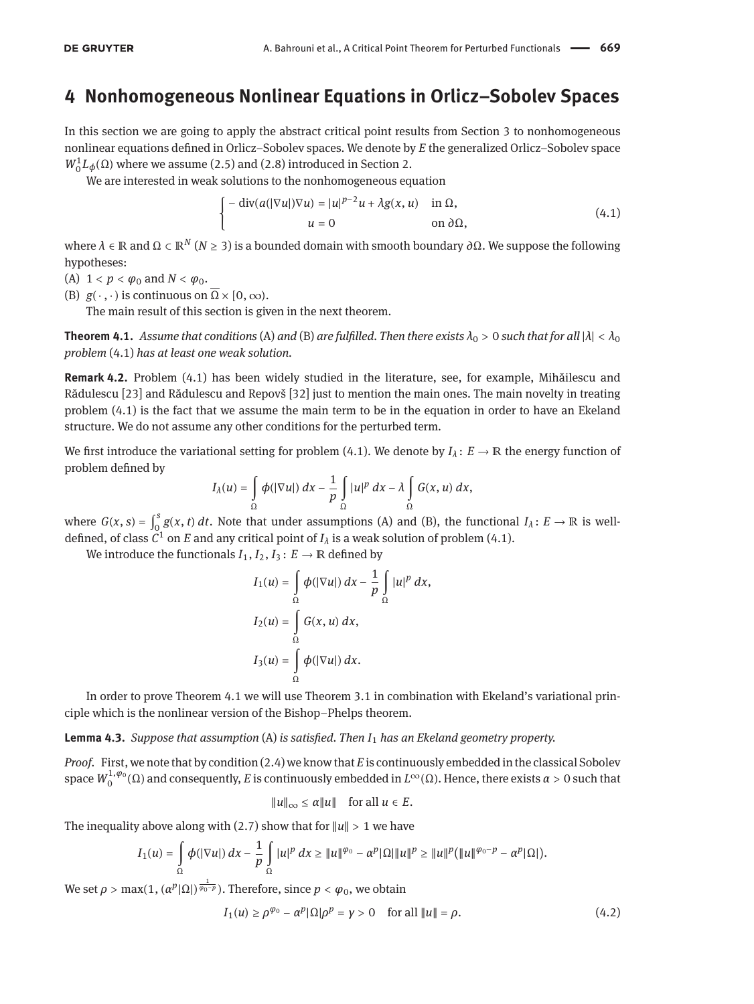#### <span id="page-6-0"></span>**4 Nonhomogeneous Nonlinear Equations in Orlicz–Sobolev Spaces**

In this section we are going to apply the abstract critical point results from Section [3](#page-4-0) to nonhomogeneous nonlinear equations defined in Orlicz–Sobolev spaces. We denote by *E* the generalized Orlicz–Sobolev space  $W_0^1L_\phi(\Omega)$  where we assume [\(2.5\)](#page-4-1) and [\(2.8\)](#page-4-2) introduced in Section [2.](#page-2-0)

We are interested in weak solutions to the nonhomogeneous equation

<span id="page-6-3"></span>
$$
\begin{cases}\n-\operatorname{div}(a(|\nabla u|)\nabla u) = |u|^{p-2}u + \lambda g(x, u) & \text{in } \Omega, \\
u = 0 & \text{on } \partial \Omega,\n\end{cases}
$$
\n(4.1)

where *λ* ∈ ℝ and Ω ⊂ ℝ*<sup>N</sup>* (*N* ≥ 3) is a bounded domain with smooth boundary *∂*Ω. We suppose the following hypotheses:

- <span id="page-6-1"></span>(A)  $1 < p < \varphi_0$  and  $N < \varphi_0$ .
- <span id="page-6-2"></span>(B)  $g(\cdot, \cdot)$  is continuous on  $\overline{\Omega} \times [0, \infty)$ .

The main result of this section is given in the next theorem.

<span id="page-6-4"></span>**Theorem 4.1.** *Assume that conditions* [\(A\)](#page-6-1) *and* [\(B\)](#page-6-2) *are fulfilled. Then there exists*  $\lambda_0 > 0$  *such that for all*  $|\lambda| < \lambda_0$ *problem* [\(4.1\)](#page-6-3) *has at least one weak solution.*

**Remark 4.2.** Problem [\(4.1\)](#page-6-3) has been widely studied in the literature, see, for example, Mihăilescu and Rădulescu [\[23\]](#page-11-3) and Rădulescu and Repovš [\[32\]](#page-11-18) just to mention the main ones. The main novelty in treating problem [\(4.1\)](#page-6-3) is the fact that we assume the main term to be in the equation in order to have an Ekeland structure. We do not assume any other conditions for the perturbed term.

We first introduce the variational setting for problem [\(4.1\)](#page-6-3). We denote by  $I_\lambda: E \to \mathbb{R}$  the energy function of problem defined by

$$
I_{\lambda}(u) = \int_{\Omega} \phi(|\nabla u|) \, dx - \frac{1}{p} \int_{\Omega} |u|^p \, dx - \lambda \int_{\Omega} G(x, u) \, dx,
$$

where  $G(x, s) = \int_0^s$  $\int_{0}^{3} g(x, t) dt$ . Note that under assumptions [\(A\)](#page-6-1) and [\(B\),](#page-6-2) the functional *I*<sub>*λ*</sub>: *E* → ℝ is welldefined, of class  $C^1$  on  $E$  and any critical point of  $I_\lambda$  is a weak solution of problem [\(4.1\)](#page-6-3).

We introduce the functionals  $I_1$ ,  $I_2$ ,  $I_3$ :  $E \rightarrow \mathbb{R}$  defined by

$$
I_1(u) = \int_{\Omega} \phi(|\nabla u|) dx - \frac{1}{p} \int_{\Omega} |u|^p dx,
$$
  
\n
$$
I_2(u) = \int_{\Omega} G(x, u) dx,
$$
  
\n
$$
I_3(u) = \int_{\Omega} \phi(|\nabla u|) dx.
$$

In order to prove Theorem [4.1](#page-6-4) we will use Theorem [3.1](#page-4-4) in combination with Ekeland's variational principle which is the nonlinear version of the Bishop–Phelps theorem.

<span id="page-6-6"></span>**Lemma 4.3.** *Suppose that assumption* [\(A\)](#page-6-1) *is satisfied. Then I*<sup>1</sup> *has an Ekeland geometry property.*

*Proof.* First, we note that by condition [\(2.4\)](#page-3-0) we know that *E* is continuously embedded in the classical Sobolev space  $W_0^{1,\varphi_0}(\Omega)$  and consequently, *E* is continuously embedded in  $L^\infty(\Omega)$ . Hence, there exists *α* > 0 such that

$$
||u||_{\infty} \le \alpha ||u|| \quad \text{for all } u \in E.
$$

The inequality above along with [\(2.7\)](#page-4-5) show that for  $||u|| > 1$  we have

$$
I_1(u)=\int\limits_\Omega \phi(|\nabla u|)\,dx-\frac{1}{p}\int\limits_\Omega |u|^p\,dx\geq \|u\|^{\varphi_0}-\alpha^p|\Omega|\|u\|^p\geq \|u\|^p\big(\|u\|^{\varphi_0-p}-\alpha^p|\Omega|\big).
$$

We set  $\rho > \max(1, (\alpha^p |\Omega|)^{\frac{1}{\varphi_0 - p}})$ . Therefore, since  $p < \varphi_0$ , we obtain

<span id="page-6-5"></span>
$$
I_1(u) \ge \rho^{\varphi_0} - \alpha^p |\Omega| \rho^p = \gamma > 0 \quad \text{for all } \|u\| = \rho.
$$
 (4.2)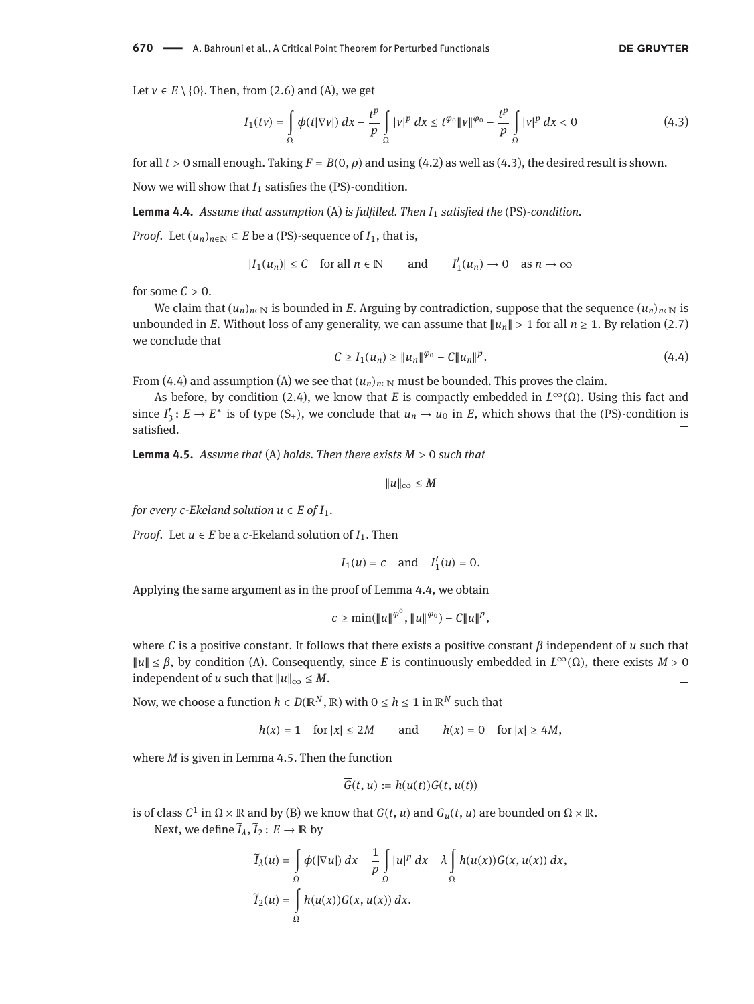Let  $v \in E \setminus \{0\}$ . Then, from [\(2.6\)](#page-4-6) and [\(A\),](#page-6-1) we get

<span id="page-7-0"></span>
$$
I_1(tv) = \int_{\Omega} \phi(t|\nabla v|) dx - \frac{t^p}{p} \int_{\Omega} |v|^p dx \le t^{\varphi_0} \|v\|^{\varphi_0} - \frac{t^p}{p} \int_{\Omega} |v|^p dx < 0
$$
 (4.3)

for all  $t > 0$  small enough. Taking  $F = B(0, \rho)$  and using [\(4.2\)](#page-6-5) as well as [\(4.3\)](#page-7-0), the desired result is shown. Now we will show that *I*<sup>1</sup> satisfies the (PS)-condition.

<span id="page-7-2"></span>**Lemma 4.4.** *Assume that assumption* [\(A\)](#page-6-1) *is fulfilled. Then I*<sup>1</sup> *satisfied the* (PS)*-condition.*

*Proof.* Let  $(u_n)_{n \in \mathbb{N}} \subseteq E$  be a (PS)-sequence of  $I_1$ , that is,

$$
|I_1(u_n)| \le C \quad \text{for all } n \in \mathbb{N} \qquad \text{and} \qquad I'_1(u_n) \to 0 \quad \text{as } n \to \infty
$$

for some  $C > 0$ .

We claim that  $(u_n)_{n\in\mathbb{N}}$  is bounded in *E*. Arguing by contradiction, suppose that the sequence  $(u_n)_{n\in\mathbb{N}}$  is unbounded in *E*. Without loss of any generality, we can assume that  $||u_n|| > 1$  for all  $n \ge 1$ . By relation [\(2.7\)](#page-4-5) we conclude that

<span id="page-7-1"></span>
$$
C \ge I_1(u_n) \ge ||u_n||^{\varphi_0} - C||u_n||^p. \tag{4.4}
$$

From [\(4.4\)](#page-7-1) and assumption [\(A\)](#page-6-1) we see that  $(u_n)_{n\in\mathbb{N}}$  must be bounded. This proves the claim.

As before, by condition [\(2.4\)](#page-3-0), we know that *E* is compactly embedded in *L*∞(Ω). Using this fact and since  $I'_3$ :  $E \to E^*$  is of type  $(S_+)$ , we conclude that  $u_n \to u_0$  in *E*, which shows that the (PS)-condition is satisfied.  $\Box$ 

<span id="page-7-3"></span>**Lemma 4.5.** *Assume that* [\(A\)](#page-6-1) *holds. Then there exists M* > 0 *such that*

‖*u*‖<sup>∞</sup> ≤ *M*

*for every c-Ekeland solution*  $u \in E$  *of*  $I_1$ *.* 

*Proof.* Let  $u \in E$  be a *c*-Ekeland solution of  $I_1$ . Then

$$
I_1(u)=c \quad \text{and} \quad I'_1(u)=0.
$$

Applying the same argument as in the proof of Lemma [4.4,](#page-7-2) we obtain

$$
c \geq \min(\|u\|^{\varphi^0}, \|u\|^{\varphi_0}) - C \|u\|^p,
$$

where *C* is a positive constant. It follows that there exists a positive constant *β* independent of *u* such that ‖*u*‖ ≤ *β*, by condition [\(A\).](#page-6-1) Consequently, since *E* is continuously embedded in *L*∞(Ω), there exists *M* > 0 independent of *u* such that  $||u||_{\infty} \leq M$ .  $\Box$ 

Now, we choose a function  $h \in D(\mathbb{R}^N, \mathbb{R})$  with  $0 \le h \le 1$  in  $\mathbb{R}^N$  such that

$$
h(x) = 1 \quad \text{for } |x| \le 2M \qquad \text{and} \qquad h(x) = 0 \quad \text{for } |x| \ge 4M,
$$

where *M* is given in Lemma [4.5.](#page-7-3) Then the function

$$
\overline{G}(t, u) := h(u(t))G(t, u(t))
$$

is of class  $C^1$  in  $\Omega\times\mathbb R$  and by [\(B\)](#page-6-2) we know that  $\overline{G}(t,\,u)$  and  $\overline{G}_u(t,\,u)$  are bounded on  $\Omega\times\mathbb R.$ Next, we define  $\widetilde{I}_\lambda$ ,  $\widetilde{I}_2: E \to \mathbb{R}$  by

$$
\widetilde{I}_{\lambda}(u) = \int_{\Omega} \phi(|\nabla u|) dx - \frac{1}{p} \int_{\Omega} |u|^p dx - \lambda \int_{\Omega} h(u(x)) G(x, u(x)) dx,
$$
  

$$
\widetilde{I}_{2}(u) = \int_{\Omega} h(u(x)) G(x, u(x)) dx.
$$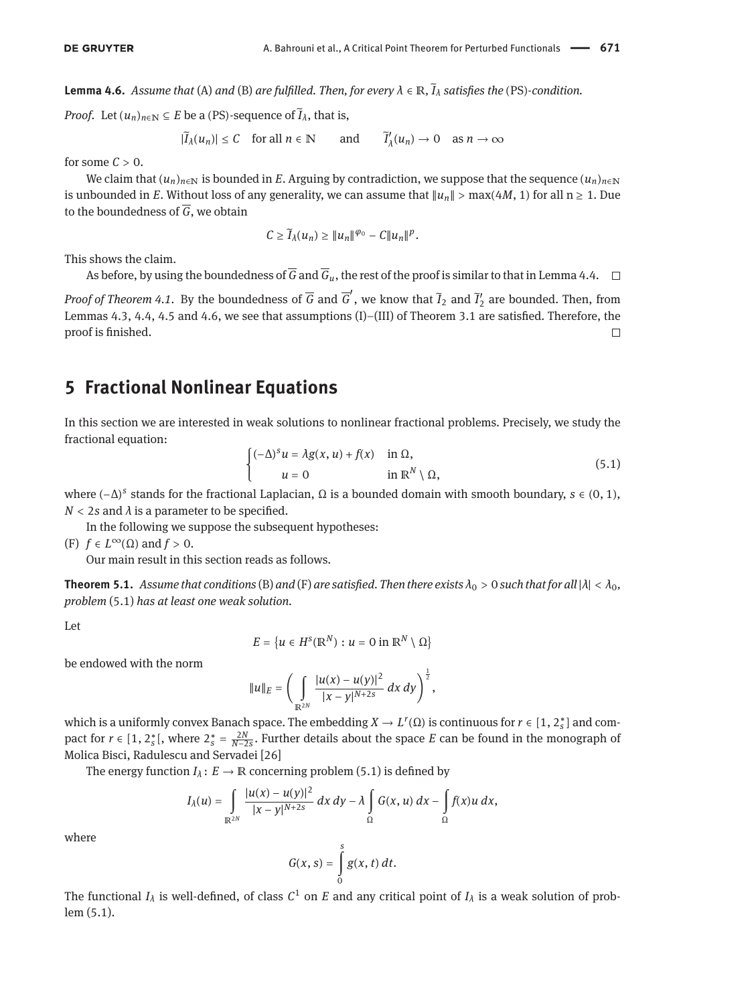<span id="page-8-1"></span>**Lemma 4.6.** *Assume that* [\(A\)](#page-6-1) *and* [\(B\)](#page-6-2) *are fulfilled. Then, for every λ* ∈ ℝ*,* ̃*I<sup>λ</sup> satisfies the* (PS)*-condition.*

*Proof.* Let  $(u_n)_{n \in \mathbb{N}} \subseteq E$  be a (PS)-sequence of  $\tilde{I}_\lambda$ , that is,

 $|\tilde{I}_\lambda(u_n)| \leq C$  for all  $n \in \mathbb{N}$  and  $\tilde{I}$  $\alpha_{\lambda}^{\prime}(u_n) \to 0$  as  $n \to \infty$ 

for some  $C > 0$ .

We claim that  $(u_n)_{n\in\mathbb{N}}$  is bounded in *E*. Arguing by contradiction, we suppose that the sequence  $(u_n)_{n\in\mathbb{N}}$ is unbounded in *E*. Without loss of any generality, we can assume that  $||u_n|| > \max(4M, 1)$  for all  $n \ge 1$ . Due to the boundedness of  $\overline{G}$ , we obtain

$$
C\geq \widetilde{I}_{\lambda}(u_n)\geq \|u_n\|^{\varphi_0}-C\|u_n\|^p.
$$

This shows the claim.

As before, by using the boundedness of  $\overline{G}$  and  $\overline{G}_u$ , the rest of the proof is similar to that in Lemma [4.4.](#page-7-2)  $\Box$ 

*Proof of Theorem [4.1.](#page-6-4)* By the boundedness of  $\overline{G}$  and  $\overline{G}'$ , we know that  $\tilde{I}_2$  and  $\tilde{I}'_2$  are bounded. Then, from Lemmas [4.3,](#page-6-6) [4.4,](#page-7-2) [4.5](#page-7-3) and [4.6,](#page-8-1) we see that assumptions (I)–(III) of Theorem [3.1](#page-4-4) are satisfied. Therefore, the proof is finished.  $\Box$ 

### <span id="page-8-0"></span>**5 Fractional Nonlinear Equations**

In this section we are interested in weak solutions to nonlinear fractional problems. Precisely, we study the fractional equation:

<span id="page-8-3"></span>
$$
\begin{cases} (-\Delta)^s u = \lambda g(x, u) + f(x) & \text{in } \Omega, \\ u = 0 & \text{in } \mathbb{R}^N \setminus \Omega, \end{cases}
$$
 (5.1)

where (−∆) *s* stands for the fractional Laplacian, Ω is a bounded domain with smooth boundary, *s* ∈ (0, 1),  $N < 2s$  and  $\lambda$  is a parameter to be specified.

In the following we suppose the subsequent hypotheses:

<span id="page-8-2"></span>(F)  $f \in L^{\infty}(\Omega)$  and  $f > 0$ .

Our main result in this section reads as follows.

<span id="page-8-4"></span>**Theorem 5.1.** *Assume that conditions* [\(B\)](#page-6-2) *and* [\(F\)](#page-8-2) *are satisfied. Then there exists*  $\lambda_0 > 0$  *such that for all*  $|\lambda| < \lambda_0$ *, problem* [\(5.1\)](#page-8-3) *has at least one weak solution.*

Let

$$
E = \{u \in H^s(\mathbb{R}^N) : u = 0 \text{ in } \mathbb{R}^N \setminus \Omega\}
$$

be endowed with the norm

$$
||u||_E = \left(\int\limits_{\mathbb{R}^{2N}} \frac{|u(x)-u(y)|^2}{|x-y|^{N+2s}}\,dx\,dy\right)^{\frac{1}{2}},
$$

which is a uniformly convex Banach space. The embedding  $X \to L^r(\Omega)$  is continuous for  $r \in [1, 2_s^*]$  and compact for  $r \in [1, 2_s^*]$ , where  $2_s^* = \frac{2N}{N-2s}$ . Further details about the space *E* can be found in the monograph of Molica Bisci, Radulescu and Servadei [\[26\]](#page-11-12)

The energy function  $I_\lambda: E \to \mathbb{R}$  concerning problem [\(5.1\)](#page-8-3) is defined by

$$
I_{\lambda}(u)=\int\limits_{\mathbb{R}^{2N}}\frac{|u(x)-u(y)|^2}{|x-y|^{N+2s}}\,dx\,dy-\lambda\int\limits_{\Omega}G(x,u)\,dx-\int\limits_{\Omega}f(x)u\,dx,
$$

where

$$
G(x, s) = \int\limits_{0}^{s} g(x, t) dt.
$$

The functional  $I_\lambda$  is well-defined, of class  $C^1$  on  $E$  and any critical point of  $I_\lambda$  is a weak solution of problem [\(5.1\)](#page-8-3).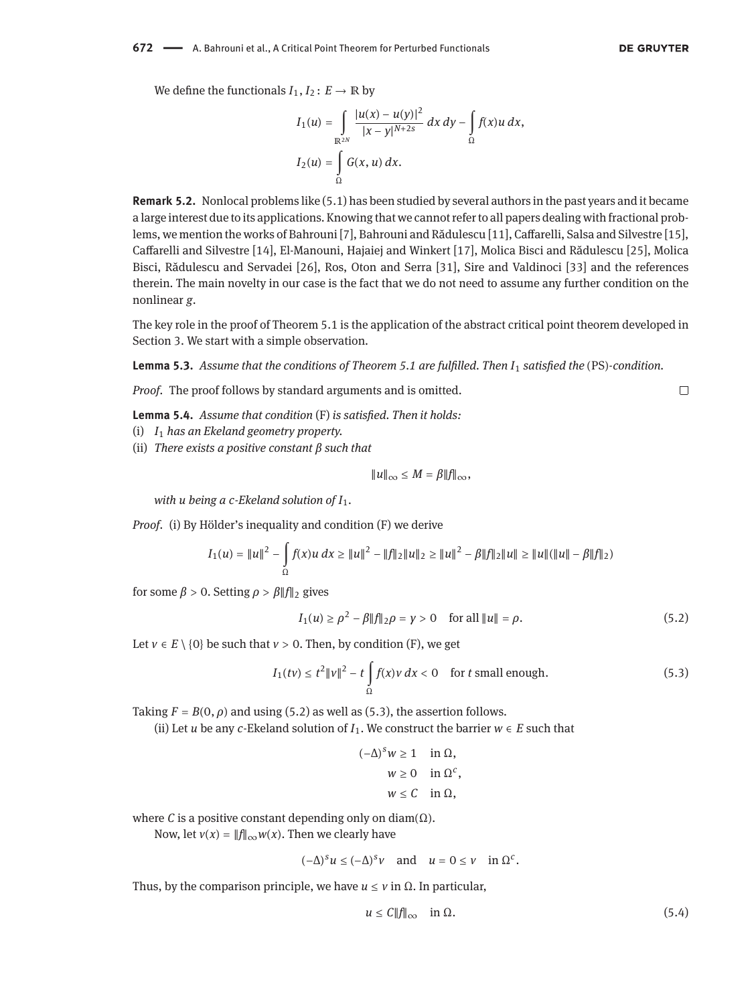$\Box$ 

We define the functionals  $I_1, I_2: E \to \mathbb{R}$  by

$$
I_1(u) = \int_{\mathbb{R}^{2N}} \frac{|u(x) - u(y)|^2}{|x - y|^{N+2s}} dx dy - \int_{\Omega} f(x)u dx,
$$
  

$$
I_2(u) = \int_{\Omega} G(x, u) dx.
$$

**Remark 5.2.** Nonlocal problems like [\(5.1\)](#page-8-3) has been studied by several authors in the past years and it became a large interest due to its applications. Knowing that we cannot refer to all papers dealing with fractional problems, we mention the works of Bahrouni [\[7\]](#page-10-10), Bahrouni and Rădulescu [\[11\]](#page-10-11), Caffarelli, Salsa and Silvestre [\[15\]](#page-11-19), Caffarelli and Silvestre [\[14\]](#page-11-20), El-Manouni, Hajaiej and Winkert [\[17\]](#page-11-21), Molica Bisci and Rădulescu [\[25\]](#page-11-22), Molica Bisci, Rădulescu and Servadei [\[26\]](#page-11-12), Ros, Oton and Serra [\[31\]](#page-11-23), Sire and Valdinoci [\[33\]](#page-11-24) and the references therein. The main novelty in our case is the fact that we do not need to assume any further condition on the nonlinear *g*.

The key role in the proof of Theorem [5.1](#page-8-4) is the application of the abstract critical point theorem developed in Section [3.](#page-4-0) We start with a simple observation.

<span id="page-9-3"></span>**Lemma 5.3.** *Assume that the conditions of Theorem [5.1](#page-8-4) are fulfilled. Then I*<sup>1</sup> *satisfied the* (PS)*-condition.*

*Proof.* The proof follows by standard arguments and is omitted.

<span id="page-9-4"></span>**Lemma 5.4.** *Assume that condition* [\(F\)](#page-8-2) *is satisfied. Then it holds:*

- (i) *I*<sup>1</sup> *has an Ekeland geometry property.*
- (ii) *There exists a positive constant β such that*

$$
||u||_{\infty} \leq M = \beta ||f||_{\infty},
$$

*with u being a c-Ekeland solution of I*1*.*

*Proof.* (i) By Hölder's inequality and condition [\(F\)](#page-8-2) we derive

$$
I_1(u) = ||u||^2 - \int_{\Omega} f(x)u \, dx \ge ||u||^2 - ||f||_2 ||u||_2 \ge ||u||^2 - \beta ||f||_2 ||u|| \ge ||u|| (||u|| - \beta ||f||_2)
$$

for some  $β > 0$ . Setting  $ρ > β$ ||*f*||<sub>2</sub> gives

<span id="page-9-0"></span>
$$
I_1(u) \ge \rho^2 - \beta \|f\|_2 \rho = \gamma > 0 \quad \text{for all } \|u\| = \rho.
$$
 (5.2)

Let  $v \in E \setminus \{0\}$  be such that  $v > 0$ . Then, by condition [\(F\),](#page-8-2) we get

<span id="page-9-1"></span>
$$
I_1(tv) \le t^2 \|v\|^2 - t \int_{\Omega} f(x)v \, dx < 0 \quad \text{for } t \text{ small enough.} \tag{5.3}
$$

Taking  $F = B(0, \rho)$  and using [\(5.2\)](#page-9-0) as well as [\(5.3\)](#page-9-1), the assertion follows.

(ii) Let *u* be any *c*-Ekeland solution of  $I_1$ . We construct the barrier  $w \in E$  such that

(−∆) *<sup>s</sup>w* ≥ 1 in Ω,  $w \ge 0$  in  $\Omega^c$ ,  $w < C$  in  $\Omega$ .

where *C* is a positive constant depending only on diam $(\Omega)$ .

Now, let  $v(x) = ||f||_{\infty} w(x)$ . Then we clearly have

$$
(-\Delta)^s u \le (-\Delta)^s v
$$
 and  $u = 0 \le v$  in  $\Omega^c$ .

Thus, by the comparison principle, we have  $u \le v$  in  $\Omega$ . In particular,

<span id="page-9-2"></span>
$$
u \le C \|f\|_{\infty} \quad \text{in } \Omega. \tag{5.4}
$$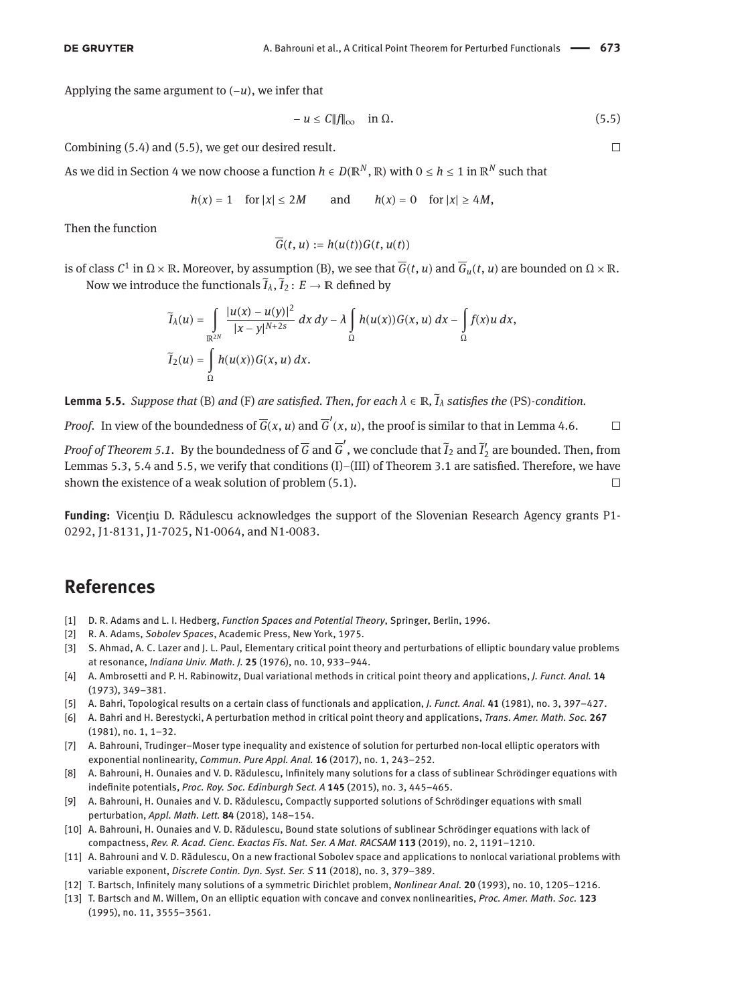Applying the same argument to (−*u*), we infer that

<span id="page-10-12"></span>
$$
-u \le C \|f\|_{\infty} \quad \text{in } \Omega. \tag{5.5}
$$

Combining [\(5.4\)](#page-9-2) and [\(5.5\)](#page-10-12), we get our desired result.

As we did in Section [4](#page-6-0) we now choose a function  $h \in D(\mathbb{R}^N, \mathbb{R})$  with  $0 \le h \le 1$  in  $\mathbb{R}^N$  such that

$$
h(x) = 1
$$
 for  $|x| \le 2M$  and  $h(x) = 0$  for  $|x| \ge 4M$ ,

Then the function

$$
\overline{G}(t, u) := h(u(t))G(t, u(t))
$$

is of class  $C^1$  in  $Ω \times ℝ.$  Moreover, by assumption [\(B\),](#page-6-2) we see that  $\overline{G}(t,u)$  and  $\overline{G}_u(t,u)$  are bounded on  $Ω \times ℝ.$ Now we introduce the functionals  $\widetilde{I}_\lambda, \widetilde{I}_2 \colon E \to \mathbb{R}$  defined by

$$
\widetilde{I}_{\lambda}(u) = \int_{\mathbb{R}^{2N}} \frac{|u(x) - u(y)|^2}{|x - y|^{N+2s}} dx dy - \lambda \int_{\Omega} h(u(x)) G(x, u) dx - \int_{\Omega} f(x)u dx,
$$
  

$$
\widetilde{I}_{2}(u) = \int_{\Omega} h(u(x)) G(x, u) dx.
$$

<span id="page-10-13"></span>**Lemma 5.5.** *Suppose that* [\(B\)](#page-6-2) *and* [\(F\)](#page-8-2) *are satisfied. Then, for each λ* ∈ ℝ*,* ̃*I<sup>λ</sup> satisfies the* (PS)*-condition.*

*Proof.* In view of the boundedness of  $\overline{G}(x, u)$  and  $\overline{G}'(x, u)$ , the proof is similar to that in Lemma [4.6.](#page-8-1)  $\Box$ 

*Proof of Theorem 5.1*. By the boundedness of  $\overline{G}$  and  $\overline{G}'$ , we conclude that  $\tilde{I}_2$  and  $\tilde{I}'_2$  are bounded. Then, from Lemmas [5.3,](#page-9-3) [5.4](#page-9-4) and [5.5,](#page-10-13) we verify that conditions (I)–(III) of Theorem [3.1](#page-4-4) are satisfied. Therefore, we have shown the existence of a weak solution of problem [\(5.1\)](#page-8-3).  $\Box$ 

**Funding:** Vicențiu D. Rădulescu acknowledges the support of the Slovenian Research Agency grants P1- 0292, J1-8131, J1-7025, N1-0064, and N1-0083.

#### **References**

- <span id="page-10-8"></span>[1] D. R. Adams and L. I. Hedberg, *Function Spaces and Potential Theory*, Springer, Berlin, 1996.
- <span id="page-10-9"></span>[2] R. A. Adams, *Sobolev Spaces*, Academic Press, New York, 1975.
- <span id="page-10-0"></span>[3] S. Ahmad, A. C. Lazer and J. L. Paul, Elementary critical point theory and perturbations of elliptic boundary value problems at resonance, *Indiana Univ. Math. J.* **25** (1976), no. 10, 933–944.
- <span id="page-10-6"></span>[4] A. Ambrosetti and P. H. Rabinowitz, Dual variational methods in critical point theory and applications, *J. Funct. Anal.* **14** (1973), 349–381.
- <span id="page-10-1"></span>[5] A. Bahri, Topological results on a certain class of functionals and application, *J. Funct. Anal.* **41** (1981), no. 3, 397–427.
- <span id="page-10-2"></span>[6] A. Bahri and H. Berestycki, A perturbation method in critical point theory and applications, *Trans. Amer. Math. Soc.* **267** (1981), no. 1, 1–32.
- <span id="page-10-10"></span>[7] A. Bahrouni, Trudinger–Moser type inequality and existence of solution for perturbed non-local elliptic operators with exponential nonlinearity, *Commun. Pure Appl. Anal.* **16** (2017), no. 1, 243–252.
- <span id="page-10-3"></span>[8] A. Bahrouni, H. Ounaies and V. D. Rădulescu, Infinitely many solutions for a class of sublinear Schrödinger equations with indefinite potentials, *Proc. Roy. Soc. Edinburgh Sect. A* **145** (2015), no. 3, 445–465.
- [9] A. Bahrouni, H. Ounaies and V. D. Rădulescu, Compactly supported solutions of Schrödinger equations with small perturbation, *Appl. Math. Lett.* **84** (2018), 148–154.
- <span id="page-10-4"></span>[10] A. Bahrouni, H. Ounaies and V. D. Rădulescu, Bound state solutions of sublinear Schrödinger equations with lack of compactness, *Rev. R. Acad. Cienc. Exactas Fís. Nat. Ser. A Mat. RACSAM* **113** (2019), no. 2, 1191–1210.
- <span id="page-10-11"></span>[11] A. Bahrouni and V. D. Rădulescu, On a new fractional Sobolev space and applications to nonlocal variational problems with variable exponent, *Discrete Contin. Dyn. Syst. Ser. S* **11** (2018), no. 3, 379–389.
- <span id="page-10-7"></span>[12] T. Bartsch, Infinitely many solutions of a symmetric Dirichlet problem, *Nonlinear Anal.* **20** (1993), no. 10, 1205–1216.
- <span id="page-10-5"></span>[13] T. Bartsch and M. Willem, On an elliptic equation with concave and convex nonlinearities, *Proc. Amer. Math. Soc.* **123** (1995), no. 11, 3555–3561.

 $\Box$